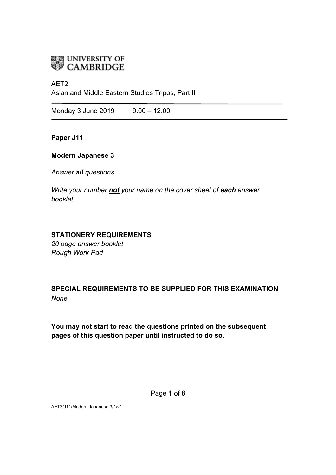

## AET2

Asian and Middle Eastern Studies Tripos, Part II

Monday 3 June 2019 9.00 - 12.00

**Paper J11**

## **Modern Japanese 3**

*Answer all questions.*

*Write your number not your name on the cover sheet of each answer booklet.* 

# **STATIONERY REQUIREMENTS**

*20 page answer booklet Rough Work Pad*

**SPECIAL REQUIREMENTS TO BE SUPPLIED FOR THIS EXAMINATION** *None*

**You may not start to read the questions printed on the subsequent pages of this question paper until instructed to do so.**

Page **1** of **8**

AET2/J11/Modern Japanese 3/1/v1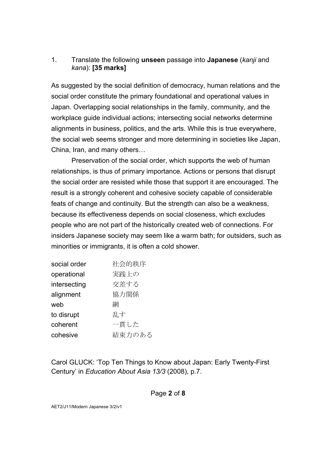# 1. Translate the following **unseen** passage into **Japanese** (*kanji* and *kana*): **[35 marks]**

As suggested by the social definition of democracy, human relations and the social order constitute the primary foundational and operational values in Japan. Overlapping social relationships in the family, community, and the workplace guide individual actions; intersecting social networks determine alignments in business, politics, and the arts. While this is true everywhere, the social web seems stronger and more determining in societies like Japan, China, Iran, and many others…

Preservation of the social order, which supports the web of human relationships, is thus of primary importance. Actions or persons that disrupt the social order are resisted while those that support it are encouraged. The result is a strongly coherent and cohesive society capable of considerable feats of change and continuity. But the strength can also be a weakness, because its effectiveness depends on social closeness, which excludes people who are not part of the historically created web of connections. For insiders Japanese society may seem like a warm bath; for outsiders, such as minorities or immigrants, it is often a cold shower.

| social order | 社会的秩序  |
|--------------|--------|
| operational  | 実践上の   |
| intersecting | 交差する   |
| alignment    | 協力関係   |
| web          | 網      |
| to disrupt   | 乱す     |
| coherent     | 一貫した   |
| cohesive     | 結束力のある |

Carol GLUCK: 'Top Ten Things to Know about Japan: Early Twenty-First Century' in *Education About Asia 13/3* (2008), p.7.

### Page **2** of **8**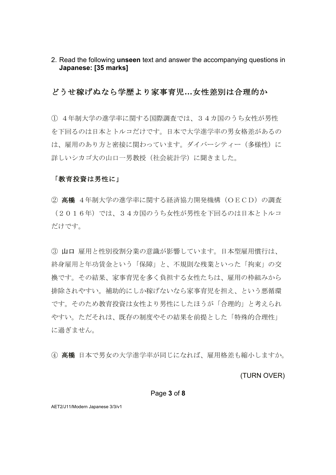2. Read the following **unseen** text and answer the accompanying questions in **Japanese: [35 marks]**

## どうせ稼げぬなら学歴より家事育児**…**女性差別は合理的か

① 4年制大学の進学率に関する国際調査では、34カ国のうち女性が男性 を下回るのは日本とトルコだけです。日本で大学進学率の男女格差があるの は、雇用のあり方と密接に関わっています。ダイバーシティー (多様性)に 詳しいシカゴ大の山口一男教授(社会統計学)に聞きました。

### 「教育投資は男性に」

② 高橋 4年制大学の進学率に関する経済協力開発機構(OECD)の調査 (2016年)では、34カ国のうち女性が男性を下回るのは日本とトルコ だけです。

③ 山口 雇用と性別役割分業の意識が影響しています。日本型雇用慣行は、 終身雇用と年功賃金という「保障」と、不規則な残業といった「拘束」の交 換です。その結果、家事育児を多く負担する女性たちは、雇用の枠組みから 排除されやすい。補助的にしか稼げないなら家事育児を担え、という悪循環 です。そのため教育投資は女性より男性にしたほうが「合理的」と考えられ やすい。ただそれは、既存の制度やその結果を前提とした「特殊的合理性」 に過ぎません。

④ 高橋 日本で男女の大学進学率が同じになれば、雇用格差も縮小しますか。

(TURN OVER)

#### Page **3** of **8**

AET2/J11/Modern Japanese 3/3/v1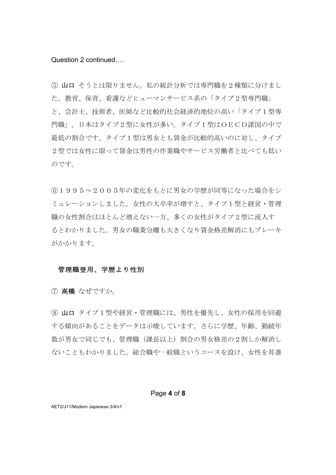### Question 2 continued….

⑤ 山口 そうとは限りません。私の統計分析では専門職を2種類に分けまし た。教育、保育、看護などヒューマンサービス系の「タイプ2型専門職」 と、会計士、技術者、医師など比較的社会経済的地位の高い「タイプ1型専 門職」。日本はタイプ2型に女性が多い。タイプ1型はOECD諸国の中で 最低の割合です。タイプ1型は男女とも賃金が比較的高いのに対し、タイプ 2型では女性に限って賃金は男性の作業職やサービス労働者と比べても低い のです。

⑥1995~2005年の変化をもとに男女の学歴が同等になった場合をシ ミュレーションしました。女性の大卒率が増すと、タイプ1型と経営・管理 職の女性割合はほとんど増えない一方、多くの女性がタイプ2型に流入す るとわかりました。男女の職業分離も大きくなり賃金格差解消にもブレーキ がかかります。

## 管理職登用、学歴より性別

⑦ 高橋 なぜですか。

⑧ 山口 タイプ1型や経営・管理職には、男性を優先し、女性の採用を回避 する傾向があることをデータは示唆しています。さらに学歴、年齢、勤続年 数が男女で同じでも、管理職(課長以上)割合の男女格差の2割しか解消し ないこともわかりました。総合職や一般職というコースを設け、女性を昇進

### Page **4** of **8**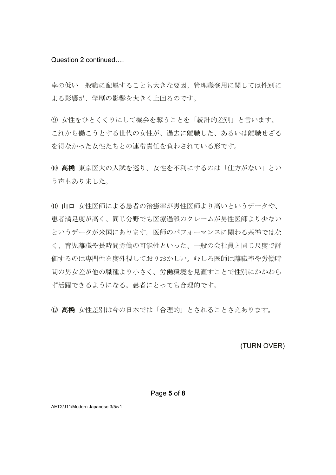Question 2 continued….

率の低い一般職に配属することも大きな要因。管理職登用に関しては性別に よる影響が、学歴の影響を大きく上回るのです。

⑨ 女性をひとくくりにして機会を奪うことを「統計的差別」と言います。 これから働こうとする世代の女性が、過去に離職した、あるいは離職せざる を得なかった女性たちとの連帯責任を負わされている形です。

⑩ 高橋 東京医大の入試を巡り、女性を不利にするのは「仕方がない」とい う声もありました。

⑪ 山口 女性医師による患者の治癒率が男性医師より高いというデータや、 患者満足度が高く、同じ分野でも医療過誤のクレームが男性医師より少ない というデータが米国にあります。医師のパフォーマンスに関わる基準ではな く、育児離職や長時間労働の可能性といった、一般の会社員と同じ尺度で評 価するのは専門性を度外視しておりおかしい。むしろ医師は離職率や労働時 間の男女差が他の職種より小さく、労働環境を見直すことで性別にかかわら ず活躍できるようになる。患者にとっても合理的です。

⑫ 高橋 女性差別は今の日本では「合理的」とされることさえあります。

(TURN OVER)

### Page **5** of **8**

AET2/J11/Modern Japanese 3/5/v1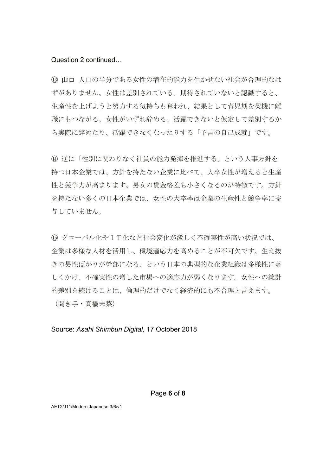## Question 2 continued…

13 山口 人口の半分である女性の潜在的能力を生かせない社会が合理的なは ずがありません。女性は差別されている、期待されていないと認識すると、 生産性を上げようと努力する気持ちも奪われ、結果として育児期を契機に離 職にもつながる。女性がいずれ辞める、活躍できないと仮定して差別するか ら実際に辞めたり、活躍できなくなったりする「予言の自己成就」です。

⑭ 逆に「性別に関わりなく社員の能力発揮を推進する」という人事方針を 持つ日本企業では、方針を持たない企業に比べて、大卒女性が増えると生産 性と競争力が高まります。男女の賃金格差も小さくなるのが特徴です。方針 を持たない多くの日本企業では、女性の大卒率は企業の生産性と競争率に寄 与していません。

⑮ グローバル化やIT化など社会変化が激しく不確実性が高い状況では、 企業は多様な人材を活用し、環境適応力を高めることが不可欠です。生え抜 きの男性ばかりが幹部になる、という日本の典型的な企業組織は多様性に著 しくかけ、不確実性の増した市場への適応力が弱くなります。女性への統計 的差別を続けることは、倫理的だけでなく経済的にも不合理と言えます。

(聞き手・高橋末菜)

Source: *Asahi Shimbun Digital,* 17 October 2018

AET2/J11/Modern Japanese 3/6/v1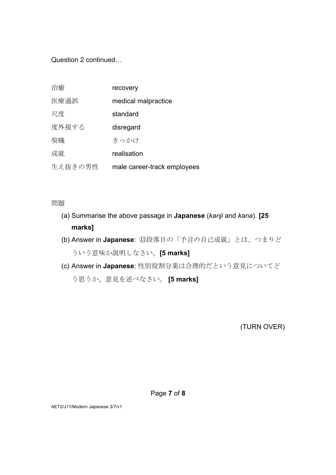Question 2 continued…

| 治癒      | recovery                    |
|---------|-----------------------------|
| 医療過誤    | medical malpractice         |
| 尺度      | standard                    |
| 度外視する   | disregard                   |
| 契機      | きっかけ                        |
| 成就      | realisation                 |
| 生え抜きの男性 | male career-track employees |

問題

- (a) Summarise the above passage in **Japanese** (*kanji* and *kana*). **[25 marks]**
- (b) Answer in **Japanese**: ⑬段落目の「予言の自己成就」とは、つまりど ういう意味か説明しなさい。**[5 marks]**
- (c) Answer in **Japanese**: 性別役割分業は合理的だという意見についてど う思うか、意見を述べなさい。 **[5 marks]**

(TURN OVER)